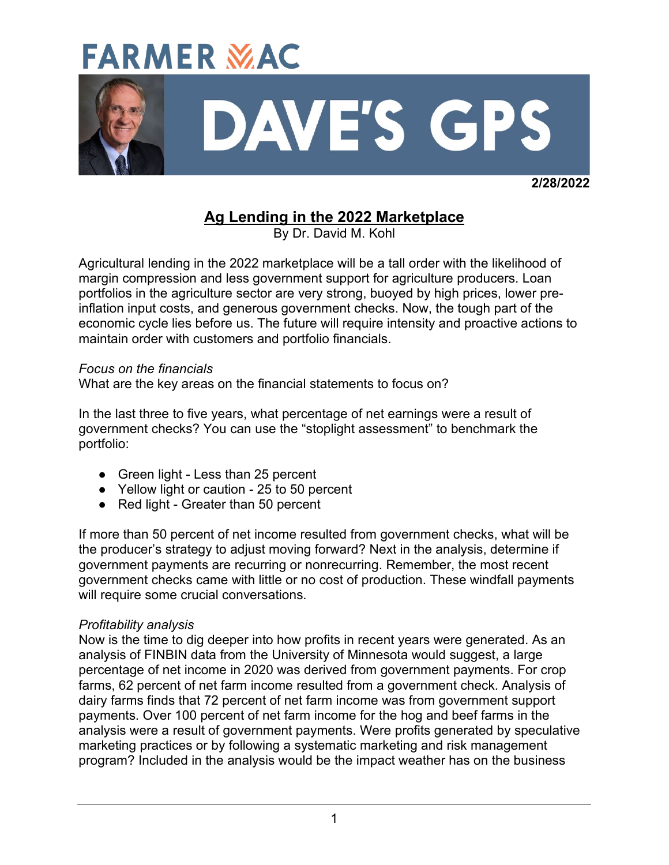

 **2/28/2022**

# **Ag Lending in the 2022 Marketplace**

By Dr. David M. Kohl

Agricultural lending in the 2022 marketplace will be a tall order with the likelihood of margin compression and less government support for agriculture producers. Loan portfolios in the agriculture sector are very strong, buoyed by high prices, lower preinflation input costs, and generous government checks. Now, the tough part of the economic cycle lies before us. The future will require intensity and proactive actions to maintain order with customers and portfolio financials.

### *Focus on the financials*

What are the key areas on the financial statements to focus on?

In the last three to five years, what percentage of net earnings were a result of government checks? You can use the "stoplight assessment" to benchmark the portfolio:

- Green light Less than 25 percent
- Yellow light or caution 25 to 50 percent
- Red light Greater than 50 percent

If more than 50 percent of net income resulted from government checks, what will be the producer's strategy to adjust moving forward? Next in the analysis, determine if government payments are recurring or nonrecurring. Remember, the most recent government checks came with little or no cost of production. These windfall payments will require some crucial conversations.

### *Profitability analysis*

Now is the time to dig deeper into how profits in recent years were generated. As an analysis of FINBIN data from the University of Minnesota would suggest, a large percentage of net income in 2020 was derived from government payments. For crop farms, 62 percent of net farm income resulted from a government check. Analysis of dairy farms finds that 72 percent of net farm income was from government support payments. Over 100 percent of net farm income for the hog and beef farms in the analysis were a result of government payments. Were profits generated by speculative marketing practices or by following a systematic marketing and risk management program? Included in the analysis would be the impact weather has on the business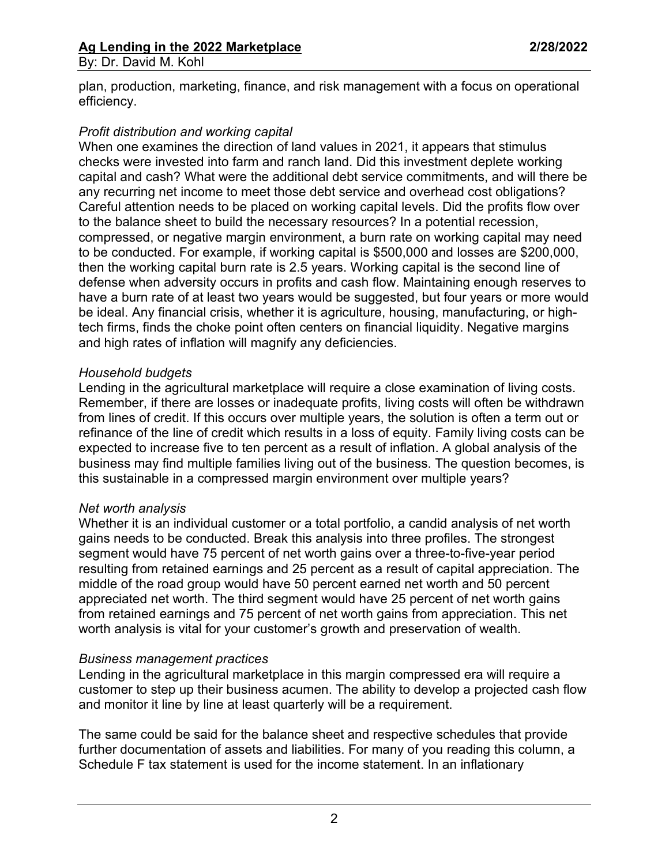plan, production, marketing, finance, and risk management with a focus on operational efficiency.

### *Profit distribution and working capital*

When one examines the direction of land values in 2021, it appears that stimulus checks were invested into farm and ranch land. Did this investment deplete working capital and cash? What were the additional debt service commitments, and will there be any recurring net income to meet those debt service and overhead cost obligations? Careful attention needs to be placed on working capital levels. Did the profits flow over to the balance sheet to build the necessary resources? In a potential recession, compressed, or negative margin environment, a burn rate on working capital may need to be conducted. For example, if working capital is \$500,000 and losses are \$200,000, then the working capital burn rate is 2.5 years. Working capital is the second line of defense when adversity occurs in profits and cash flow. Maintaining enough reserves to have a burn rate of at least two years would be suggested, but four years or more would be ideal. Any financial crisis, whether it is agriculture, housing, manufacturing, or hightech firms, finds the choke point often centers on financial liquidity. Negative margins and high rates of inflation will magnify any deficiencies.

### *Household budgets*

Lending in the agricultural marketplace will require a close examination of living costs. Remember, if there are losses or inadequate profits, living costs will often be withdrawn from lines of credit. If this occurs over multiple years, the solution is often a term out or refinance of the line of credit which results in a loss of equity. Family living costs can be expected to increase five to ten percent as a result of inflation. A global analysis of the business may find multiple families living out of the business. The question becomes, is this sustainable in a compressed margin environment over multiple years?

### *Net worth analysis*

Whether it is an individual customer or a total portfolio, a candid analysis of net worth gains needs to be conducted. Break this analysis into three profiles. The strongest segment would have 75 percent of net worth gains over a three-to-five-year period resulting from retained earnings and 25 percent as a result of capital appreciation. The middle of the road group would have 50 percent earned net worth and 50 percent appreciated net worth. The third segment would have 25 percent of net worth gains from retained earnings and 75 percent of net worth gains from appreciation. This net worth analysis is vital for your customer's growth and preservation of wealth.

#### *Business management practices*

Lending in the agricultural marketplace in this margin compressed era will require a customer to step up their business acumen. The ability to develop a projected cash flow and monitor it line by line at least quarterly will be a requirement.

The same could be said for the balance sheet and respective schedules that provide further documentation of assets and liabilities. For many of you reading this column, a Schedule F tax statement is used for the income statement. In an inflationary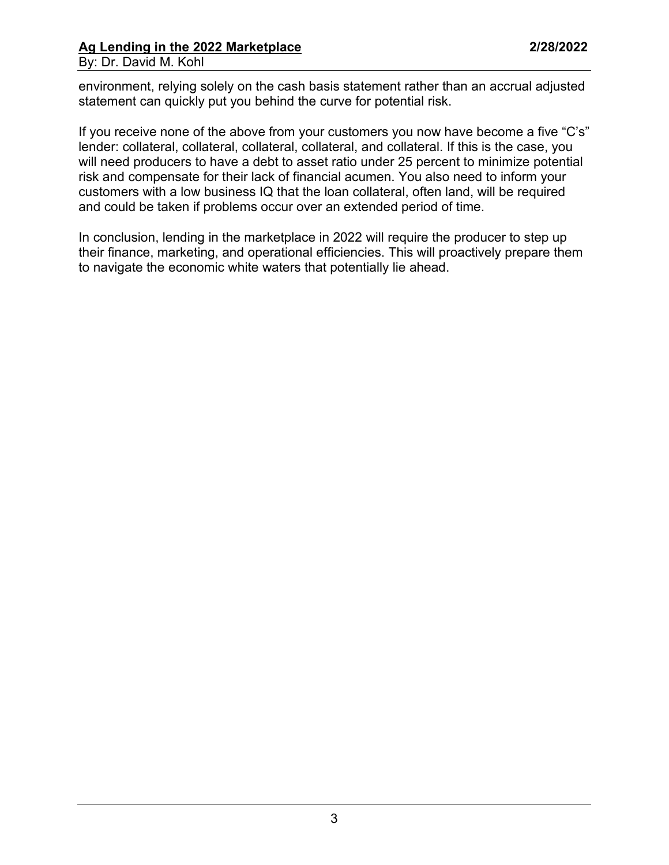### **Ag Lending in the 2022 Marketplace 2/28/2022** By: Dr. David M. Kohl

environment, relying solely on the cash basis statement rather than an accrual adjusted statement can quickly put you behind the curve for potential risk.

If you receive none of the above from your customers you now have become a five "C's" lender: collateral, collateral, collateral, collateral, and collateral. If this is the case, you will need producers to have a debt to asset ratio under 25 percent to minimize potential risk and compensate for their lack of financial acumen. You also need to inform your customers with a low business IQ that the loan collateral, often land, will be required and could be taken if problems occur over an extended period of time.

In conclusion, lending in the marketplace in 2022 will require the producer to step up their finance, marketing, and operational efficiencies. This will proactively prepare them to navigate the economic white waters that potentially lie ahead.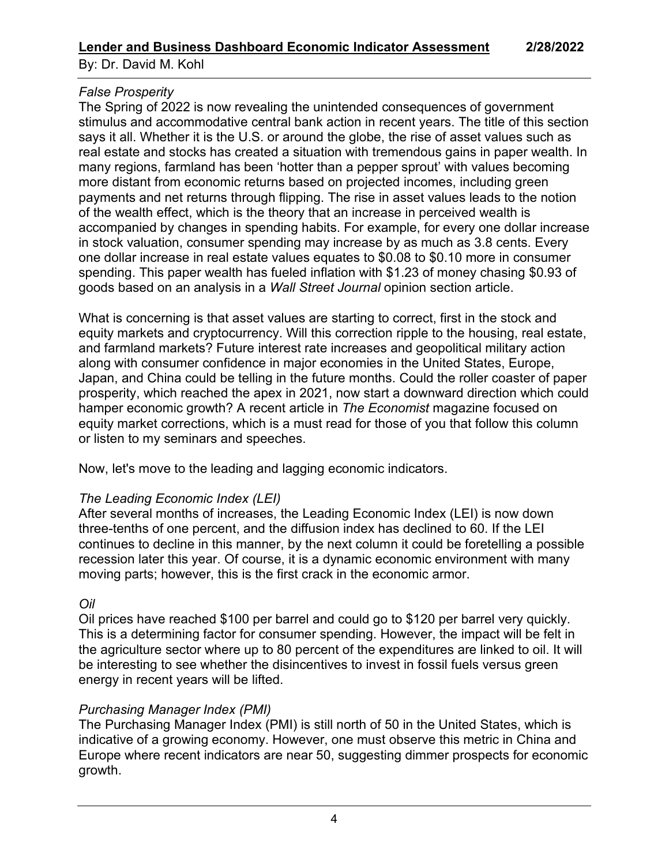By: Dr. David M. Kohl

## *False Prosperity*

The Spring of 2022 is now revealing the unintended consequences of government stimulus and accommodative central bank action in recent years. The title of this section says it all. Whether it is the U.S. or around the globe, the rise of asset values such as real estate and stocks has created a situation with tremendous gains in paper wealth. In many regions, farmland has been 'hotter than a pepper sprout' with values becoming more distant from economic returns based on projected incomes, including green payments and net returns through flipping. The rise in asset values leads to the notion of the wealth effect, which is the theory that an increase in perceived wealth is accompanied by changes in spending habits. For example, for every one dollar increase in stock valuation, consumer spending may increase by as much as 3.8 cents. Every one dollar increase in real estate values equates to \$0.08 to \$0.10 more in consumer spending. This paper wealth has fueled inflation with \$1.23 of money chasing \$0.93 of goods based on an analysis in a *Wall Street Journal* opinion section article.

What is concerning is that asset values are starting to correct, first in the stock and equity markets and cryptocurrency. Will this correction ripple to the housing, real estate, and farmland markets? Future interest rate increases and geopolitical military action along with consumer confidence in major economies in the United States, Europe, Japan, and China could be telling in the future months. Could the roller coaster of paper prosperity, which reached the apex in 2021, now start a downward direction which could hamper economic growth? A recent article in *The Economist* magazine focused on equity market corrections, which is a must read for those of you that follow this column or listen to my seminars and speeches.

Now, let's move to the leading and lagging economic indicators.

## *The Leading Economic Index (LEI)*

After several months of increases, the Leading Economic Index (LEI) is now down three-tenths of one percent, and the diffusion index has declined to 60. If the LEI continues to decline in this manner, by the next column it could be foretelling a possible recession later this year. Of course, it is a dynamic economic environment with many moving parts; however, this is the first crack in the economic armor.

## *Oil*

Oil prices have reached \$100 per barrel and could go to \$120 per barrel very quickly. This is a determining factor for consumer spending. However, the impact will be felt in the agriculture sector where up to 80 percent of the expenditures are linked to oil. It will be interesting to see whether the disincentives to invest in fossil fuels versus green energy in recent years will be lifted.

## *Purchasing Manager Index (PMI)*

The Purchasing Manager Index (PMI) is still north of 50 in the United States, which is indicative of a growing economy. However, one must observe this metric in China and Europe where recent indicators are near 50, suggesting dimmer prospects for economic growth.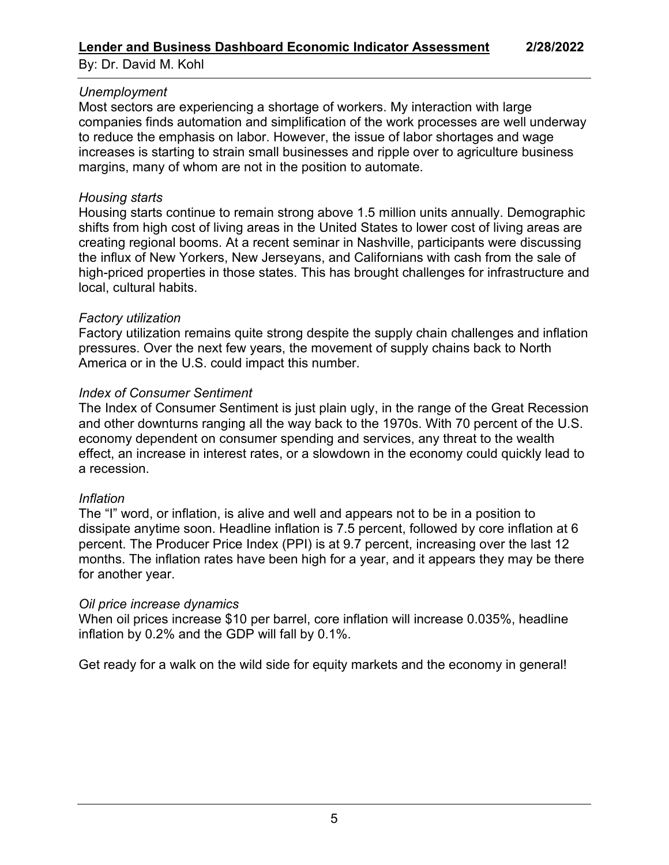By: Dr. David M. Kohl

## *Unemployment*

Most sectors are experiencing a shortage of workers. My interaction with large companies finds automation and simplification of the work processes are well underway to reduce the emphasis on labor. However, the issue of labor shortages and wage increases is starting to strain small businesses and ripple over to agriculture business margins, many of whom are not in the position to automate.

## *Housing starts*

Housing starts continue to remain strong above 1.5 million units annually. Demographic shifts from high cost of living areas in the United States to lower cost of living areas are creating regional booms. At a recent seminar in Nashville, participants were discussing the influx of New Yorkers, New Jerseyans, and Californians with cash from the sale of high-priced properties in those states. This has brought challenges for infrastructure and local, cultural habits.

## *Factory utilization*

Factory utilization remains quite strong despite the supply chain challenges and inflation pressures. Over the next few years, the movement of supply chains back to North America or in the U.S. could impact this number.

## *Index of Consumer Sentiment*

The Index of Consumer Sentiment is just plain ugly, in the range of the Great Recession and other downturns ranging all the way back to the 1970s. With 70 percent of the U.S. economy dependent on consumer spending and services, any threat to the wealth effect, an increase in interest rates, or a slowdown in the economy could quickly lead to a recession.

## *Inflation*

The "I" word, or inflation, is alive and well and appears not to be in a position to dissipate anytime soon. Headline inflation is 7.5 percent, followed by core inflation at 6 percent. The Producer Price Index (PPI) is at 9.7 percent, increasing over the last 12 months. The inflation rates have been high for a year, and it appears they may be there for another year.

## *Oil price increase dynamics*

When oil prices increase \$10 per barrel, core inflation will increase 0.035%, headline inflation by 0.2% and the GDP will fall by 0.1%.

Get ready for a walk on the wild side for equity markets and the economy in general!